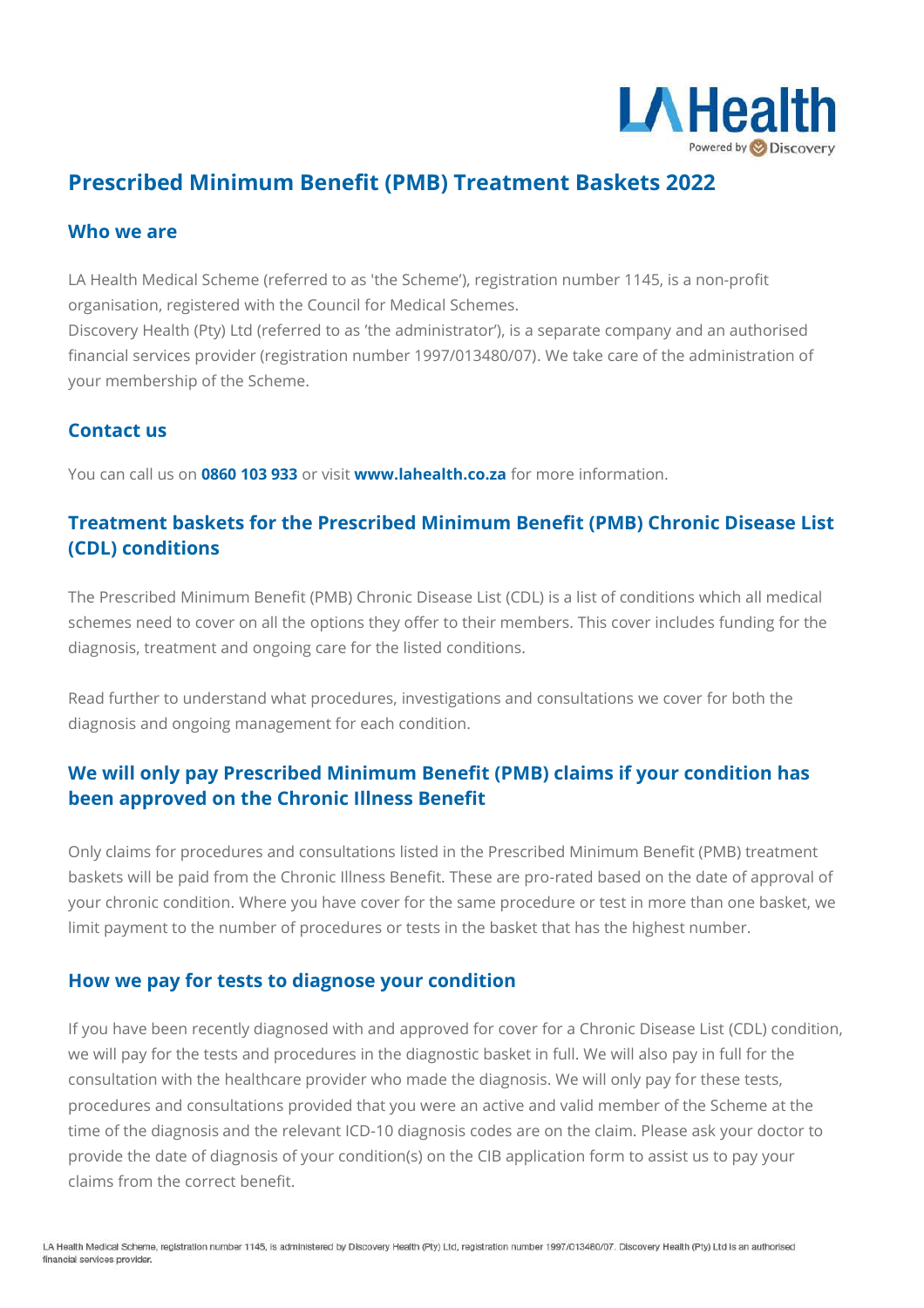

# **Prescribed Minimum Benefit (PMB) Treatment Baskets 2022**

#### **Who we are**

LA Health Medical Scheme (referred to as 'the Scheme'), registration number 1145, is a non-profit organisation, registered with the Council for Medical Schemes.

Discovery Health (Pty) Ltd (referred to as 'the administrator'), is a separate company and an authorised financial services provider (registration number 1997/013480/07). We take care of the administration of your membership of the Scheme.

#### **Contact us**

You can call us on **0860 103 933** or visit **[www.lahealth.co.za](http://www.lahealth.co.za/)** for more information.

### **Treatment baskets for the Prescribed Minimum Benefit (PMB) Chronic Disease List (CDL) conditions**

The Prescribed Minimum Benefit (PMB) Chronic Disease List (CDL) is a list of conditions which all medical schemes need to cover on all the options they offer to their members. This cover includes funding for the diagnosis, treatment and ongoing care for the listed conditions.

Read further to understand what procedures, investigations and consultations we cover for both the diagnosis and ongoing management for each condition.

### **We will only pay Prescribed Minimum Benefit (PMB) claims if your condition has been approved on the Chronic Illness Benefit**

Only claims for procedures and consultations listed in the Prescribed Minimum Benefit (PMB) treatment baskets will be paid from the Chronic Illness Benefit. These are pro-rated based on the date of approval of your chronic condition. Where you have cover for the same procedure or test in more than one basket, we limit payment to the number of procedures or tests in the basket that has the highest number.

#### **How we pay for tests to diagnose your condition**

If you have been recently diagnosed with and approved for cover for a Chronic Disease List (CDL) condition, we will pay for the tests and procedures in the diagnostic basket in full. We will also pay in full for the consultation with the healthcare provider who made the diagnosis. We will only pay for these tests, procedures and consultations provided that you were an active and valid member of the Scheme at the time of the diagnosis and the relevant ICD-10 diagnosis codes are on the claim. Please ask your doctor to provide the date of diagnosis of your condition(s) on the CIB application form to assist us to pay your claims from the correct benefit.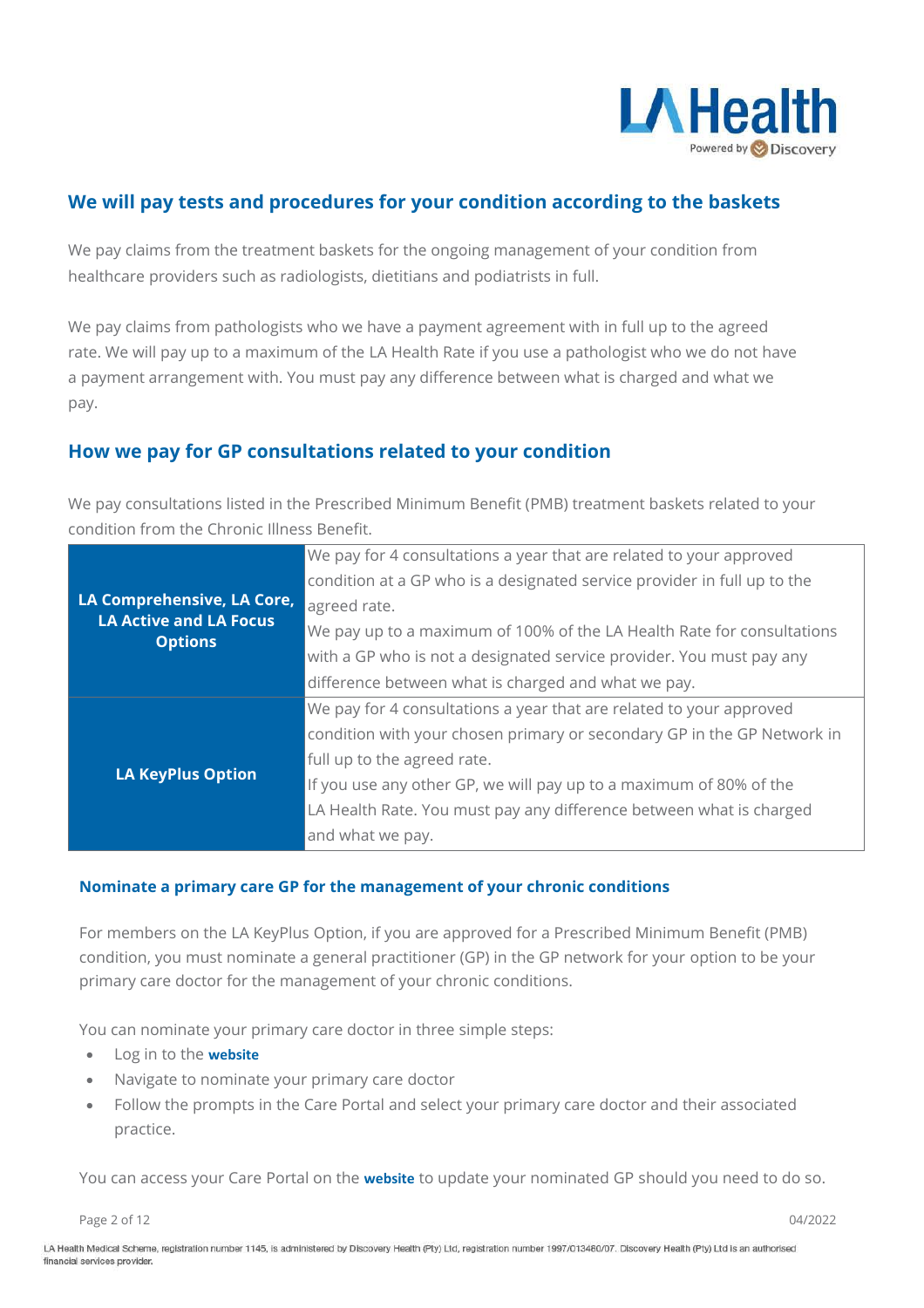

### **We will pay tests and procedures for your condition according to the baskets**

We pay claims from the treatment baskets for the ongoing management of your condition from healthcare providers such as radiologists, dietitians and podiatrists in full.

We pay claims from pathologists who we have a payment agreement with in full up to the agreed rate. We will pay up to a maximum of the LA Health Rate if you use a pathologist who we do not have a payment arrangement with. You must pay any difference between what is charged and what we pay.

#### **How we pay for GP consultations related to your condition**

We pay consultations listed in the Prescribed Minimum Benefit (PMB) treatment baskets related to your condition from the Chronic Illness Benefit.

|                                                                               | We pay for 4 consultations a year that are related to your approved      |
|-------------------------------------------------------------------------------|--------------------------------------------------------------------------|
|                                                                               | condition at a GP who is a designated service provider in full up to the |
| LA Comprehensive, LA Core,<br><b>LA Active and LA Focus</b><br><b>Options</b> | agreed rate.                                                             |
|                                                                               | We pay up to a maximum of 100% of the LA Health Rate for consultations   |
|                                                                               | with a GP who is not a designated service provider. You must pay any     |
|                                                                               | difference between what is charged and what we pay.                      |
|                                                                               | We pay for 4 consultations a year that are related to your approved      |
|                                                                               | condition with your chosen primary or secondary GP in the GP Network in  |
|                                                                               | full up to the agreed rate.                                              |
| <b>LA KeyPlus Option</b>                                                      | If you use any other GP, we will pay up to a maximum of 80% of the       |
|                                                                               | LA Health Rate. You must pay any difference between what is charged      |
|                                                                               | and what we pay.                                                         |

#### **Nominate a primary care GP for the management of your chronic conditions**

For members on the LA KeyPlus Option, if you are approved for a Prescribed Minimum Benefit (PMB) condition, you must nominate a general practitioner (GP) in the GP network for your option to be your primary care doctor for the management of your chronic conditions.

You can nominate your primary care doctor in three simple steps:

- Log in to the **[website](https://www.lahealth.co.za/d2hp/ui/login)**
- Navigate to nominate your primary care doctor
- Follow the prompts in the Care Portal and select your primary care doctor and their associated practice.

You can access your Care Portal on the **[website](https://www.lahealth.co.za/d2hp/ui/login)** to update your nominated GP should you need to do so.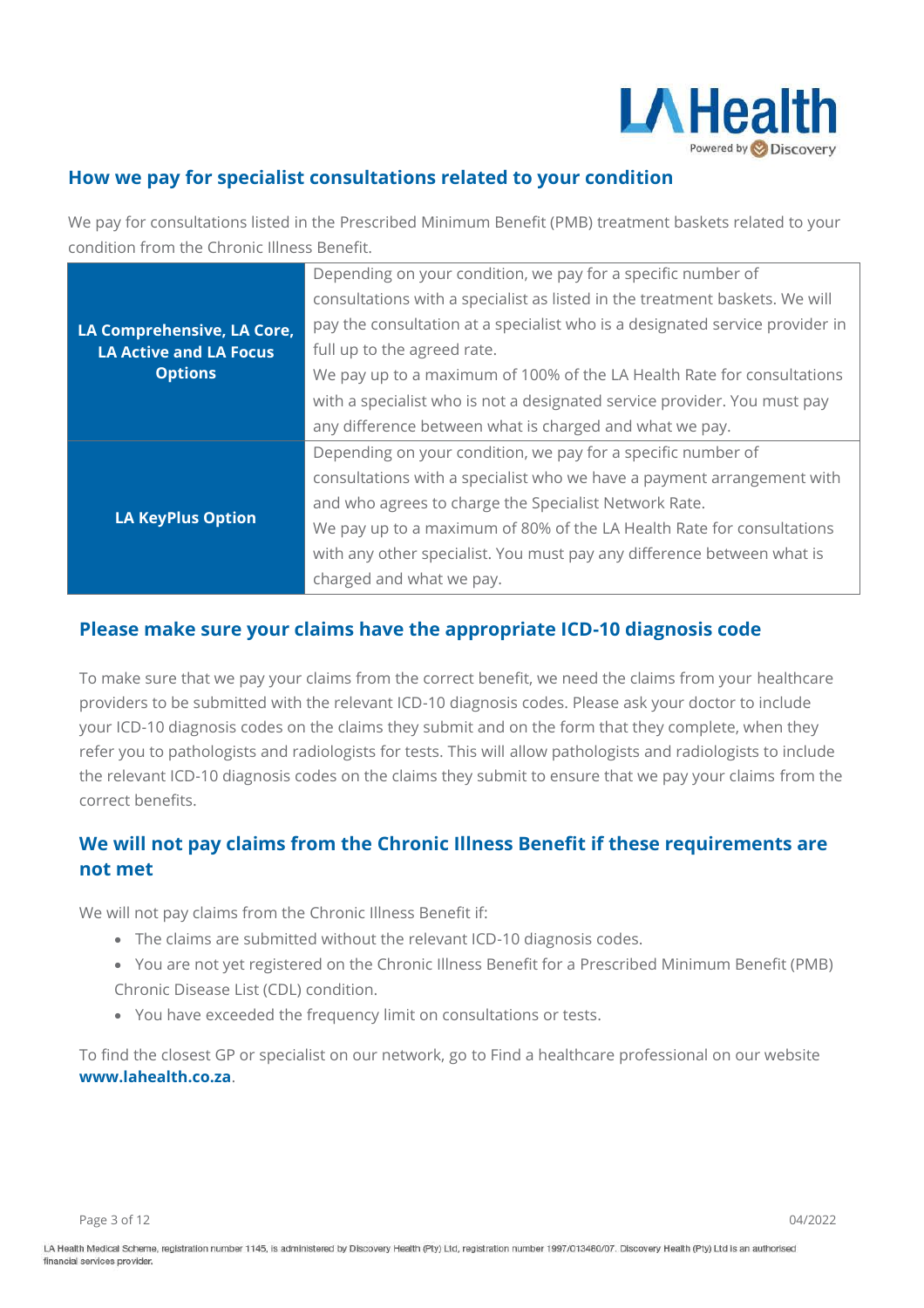

### **How we pay for specialist consultations related to your condition**

We pay for consultations listed in the Prescribed Minimum Benefit (PMB) treatment baskets related to your condition from the Chronic Illness Benefit.

|                                                                               | Depending on your condition, we pay for a specific number of                 |
|-------------------------------------------------------------------------------|------------------------------------------------------------------------------|
|                                                                               | consultations with a specialist as listed in the treatment baskets. We will  |
| LA Comprehensive, LA Core,<br><b>LA Active and LA Focus</b><br><b>Options</b> | pay the consultation at a specialist who is a designated service provider in |
|                                                                               | full up to the agreed rate.                                                  |
|                                                                               | We pay up to a maximum of 100% of the LA Health Rate for consultations       |
|                                                                               | with a specialist who is not a designated service provider. You must pay     |
|                                                                               | any difference between what is charged and what we pay.                      |
|                                                                               | Depending on your condition, we pay for a specific number of                 |
|                                                                               | consultations with a specialist who we have a payment arrangement with       |
|                                                                               | and who agrees to charge the Specialist Network Rate.                        |
| <b>LA KeyPlus Option</b>                                                      | We pay up to a maximum of 80% of the LA Health Rate for consultations        |
|                                                                               | with any other specialist. You must pay any difference between what is       |
|                                                                               | charged and what we pay.                                                     |

#### **Please make sure your claims have the appropriate ICD-10 diagnosis code**

To make sure that we pay your claims from the correct benefit, we need the claims from your healthcare providers to be submitted with the relevant ICD-10 diagnosis codes. Please ask your doctor to include your ICD-10 diagnosis codes on the claims they submit and on the form that they complete, when they refer you to pathologists and radiologists for tests. This will allow pathologists and radiologists to include the relevant ICD-10 diagnosis codes on the claims they submit to ensure that we pay your claims from the correct benefits.

### **We will not pay claims from the Chronic Illness Benefit if these requirements are not met**

We will not pay claims from the Chronic Illness Benefit if:

- The claims are submitted without the relevant ICD-10 diagnosis codes.
- You are not yet registered on the Chronic Illness Benefit for a Prescribed Minimum Benefit (PMB) Chronic Disease List (CDL) condition.
- You have exceeded the frequency limit on consultations or tests.

To find the closest GP or specialist on our network, go to Find a healthcare professional on our website **[www.lahealth.co.za](http://www.lahealth.co.za/)**.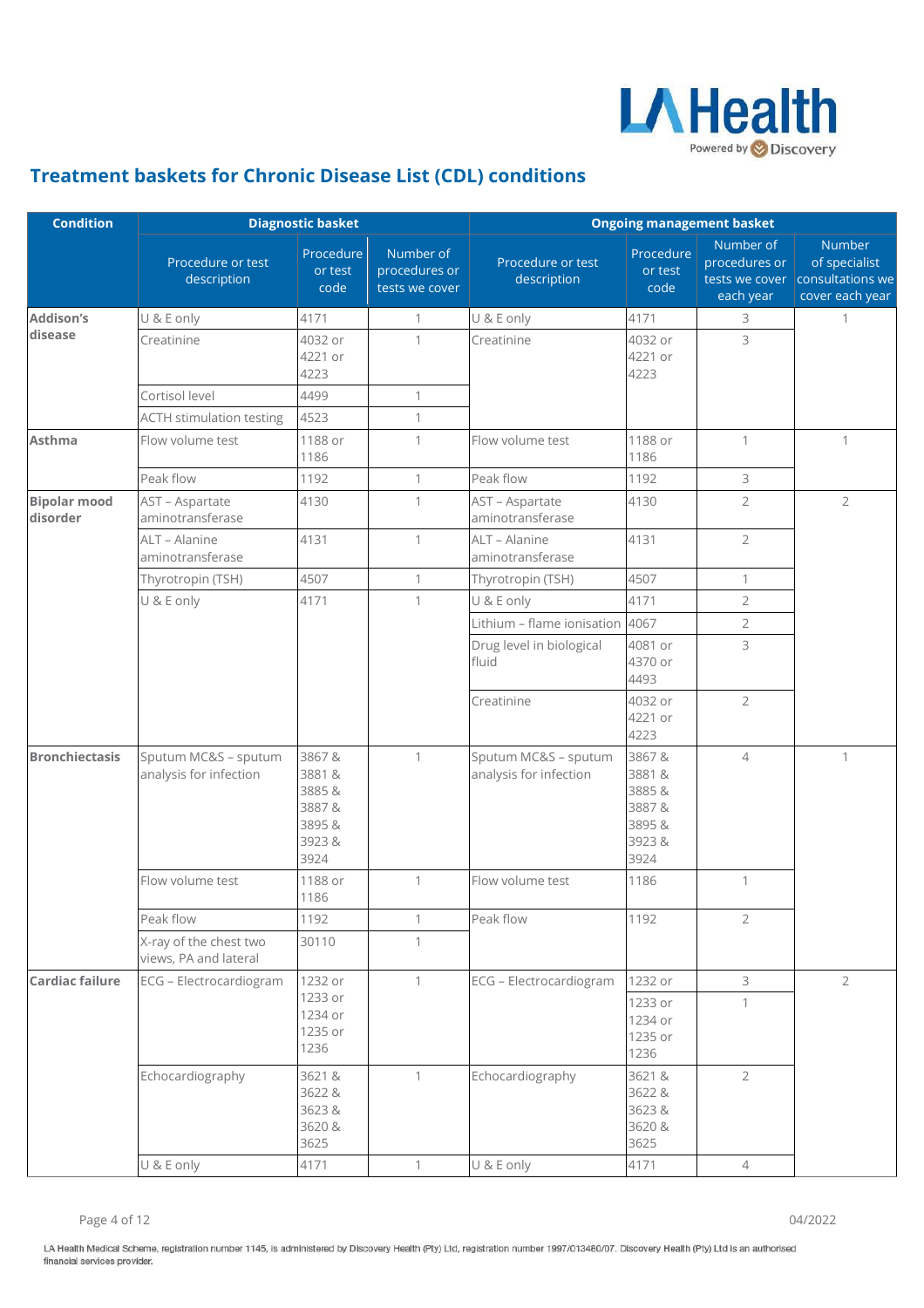

## **Treatment baskets for Chronic Disease List (CDL) conditions**

| <b>Condition</b>                |                                                 | <b>Diagnostic basket</b>                                    |                                              | <b>Ongoing management basket</b>               |                                                            |                                                           |                                                                |
|---------------------------------|-------------------------------------------------|-------------------------------------------------------------|----------------------------------------------|------------------------------------------------|------------------------------------------------------------|-----------------------------------------------------------|----------------------------------------------------------------|
|                                 | Procedure or test<br>description                | Procedure<br>or test<br>code                                | Number of<br>procedures or<br>tests we cover | Procedure or test<br>description               | Procedure<br>or test<br>code                               | Number of<br>procedures or<br>tests we cover<br>each year | Number<br>of specialist<br>consultations we<br>cover each year |
| <b>Addison's</b>                | U & E only                                      | 4171                                                        | 1                                            | U & E only                                     | 4171                                                       | 3                                                         | 1                                                              |
| disease                         | Creatinine                                      | 4032 or<br>4221 or<br>4223                                  | 1                                            | Creatinine                                     | 4032 or<br>4221 or<br>4223                                 | 3                                                         |                                                                |
|                                 | Cortisol level                                  | 4499                                                        | $\mathbf{1}$                                 |                                                |                                                            |                                                           |                                                                |
|                                 | <b>ACTH stimulation testing</b>                 | 4523                                                        | $\mathbf{1}$                                 |                                                |                                                            |                                                           |                                                                |
| <b>Asthma</b>                   | Flow volume test                                | 1188 or<br>1186                                             | $\mathbf{1}$                                 | Flow volume test                               | 1188 or<br>1186                                            | $\mathbf{1}$                                              | $\mathbf{1}$                                                   |
|                                 | Peak flow                                       | 1192                                                        | 1                                            | Peak flow                                      | 1192                                                       | 3                                                         |                                                                |
| <b>Bipolar mood</b><br>disorder | AST - Aspartate<br>aminotransferase             | 4130                                                        | $\mathbf 1$                                  | AST - Aspartate<br>aminotransferase            | 4130                                                       | $\overline{2}$                                            | $\overline{2}$                                                 |
|                                 | ALT - Alanine<br>aminotransferase               | 4131                                                        | $\mathbf{1}$                                 | ALT - Alanine<br>aminotransferase              | 4131                                                       | $\overline{2}$                                            |                                                                |
|                                 | Thyrotropin (TSH)                               | 4507                                                        | 1                                            | Thyrotropin (TSH)                              | 4507                                                       | $\mathbf{1}$                                              |                                                                |
|                                 | U & E only                                      | 4171                                                        | 1                                            | U & E only                                     | 4171                                                       | $\sqrt{2}$                                                |                                                                |
|                                 |                                                 |                                                             |                                              | Lithium - flame ionisation                     | 4067                                                       | $\overline{2}$                                            |                                                                |
|                                 |                                                 |                                                             |                                              | Drug level in biological<br>fluid              | 4081 or<br>4370 or<br>4493                                 | 3                                                         |                                                                |
|                                 |                                                 |                                                             |                                              | Creatinine                                     | 4032 or<br>4221 or<br>4223                                 | $\overline{2}$                                            |                                                                |
| <b>Bronchiectasis</b>           | Sputum MC&S - sputum<br>analysis for infection  | 3867&<br>3881&<br>3885&<br>3887&<br>3895 &<br>3923&<br>3924 | $\mathbf{1}$                                 | Sputum MC&S - sputum<br>analysis for infection | 3867&<br>3881&<br>3885&<br>3887&<br>3895&<br>3923&<br>3924 | $\overline{4}$                                            | $\mathbf{1}$                                                   |
|                                 | Flow volume test                                | 1188 or<br>1186                                             | $\mathbf{1}$                                 | Flow volume test                               | 1186                                                       | 1                                                         |                                                                |
|                                 | Peak flow                                       | 1192                                                        | 1                                            | Peak flow                                      | 1192                                                       | $\overline{2}$                                            |                                                                |
|                                 | X-ray of the chest two<br>views, PA and lateral | 30110                                                       | 1                                            |                                                |                                                            |                                                           |                                                                |
| <b>Cardiac failure</b>          | ECG - Electrocardiogram                         | 1232 or                                                     | $\mathbf{1}$                                 | ECG - Electrocardiogram                        | 1232 or                                                    | 3                                                         | $\overline{2}$                                                 |
|                                 |                                                 | 1233 or<br>1234 or<br>1235 or<br>1236                       |                                              |                                                | 1233 or<br>1234 or<br>1235 or<br>1236                      | $\mathbf{1}$                                              |                                                                |
|                                 | Echocardiography                                | 3621 &<br>3622 &<br>3623&<br>3620 &<br>3625                 | 1                                            | Echocardiography                               | 3621 &<br>3622 &<br>3623&<br>3620 &<br>3625                | $\overline{2}$                                            |                                                                |
|                                 | U & E only                                      | 4171                                                        | $\mathbf{1}$                                 | U & E only                                     | 4171                                                       | $\overline{4}$                                            |                                                                |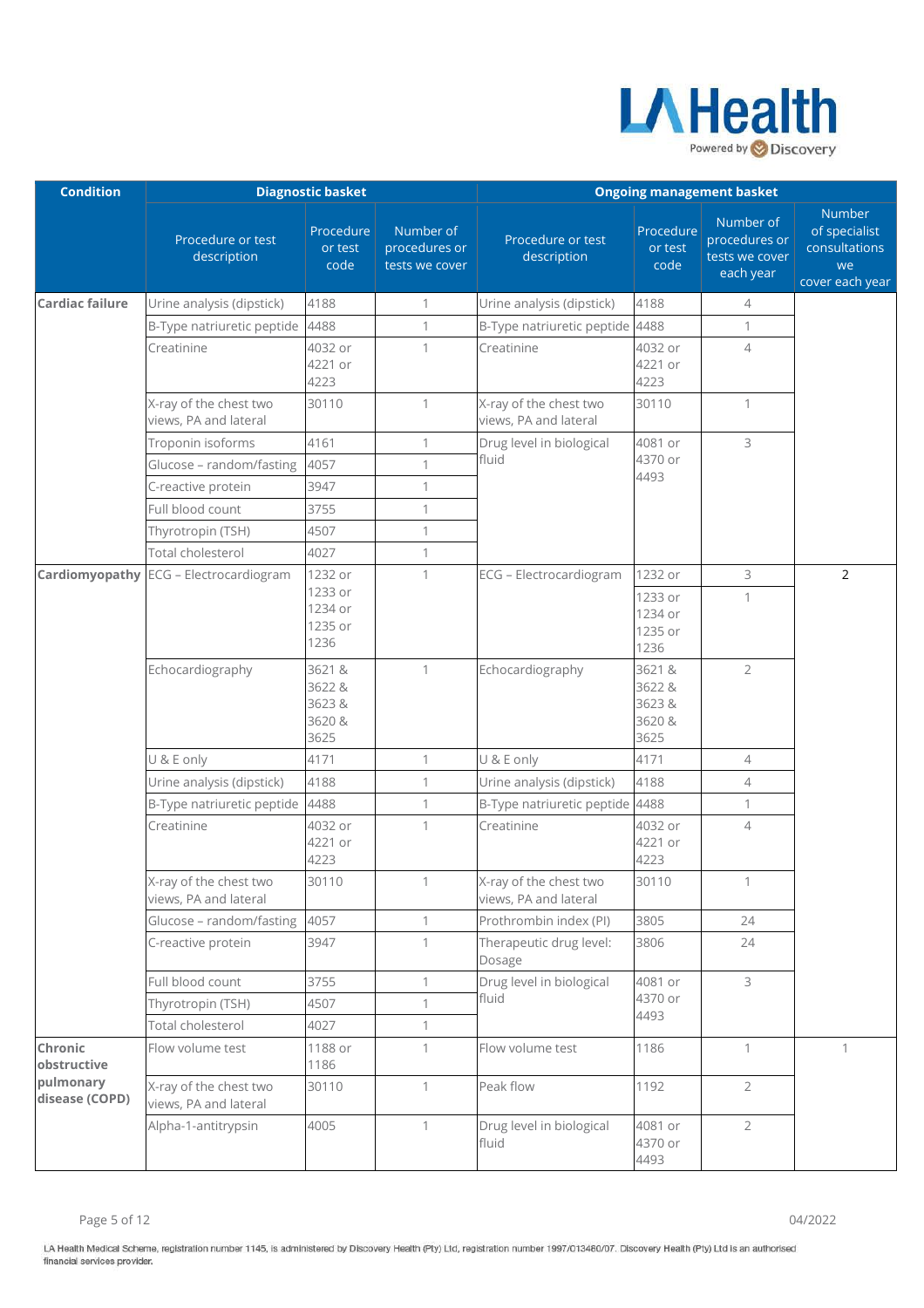

| <b>Condition</b>            |                                                 | <b>Diagnostic basket</b>                    |                                              | <b>Ongoing management basket</b>                |                                             |                                                           |                                                                   |
|-----------------------------|-------------------------------------------------|---------------------------------------------|----------------------------------------------|-------------------------------------------------|---------------------------------------------|-----------------------------------------------------------|-------------------------------------------------------------------|
|                             | Procedure or test<br>description                | Procedure<br>or test<br>code                | Number of<br>procedures or<br>tests we cover | Procedure or test<br>description                | Procedure<br>or test<br>code                | Number of<br>procedures or<br>tests we cover<br>each year | Number<br>of specialist<br>consultations<br>we<br>cover each year |
| <b>Cardiac failure</b>      | Urine analysis (dipstick)                       | 4188                                        | 1                                            | Urine analysis (dipstick)                       | 4188                                        | 4                                                         |                                                                   |
|                             | B-Type natriuretic peptide                      | 4488                                        | $\mathbf{1}$                                 | B-Type natriuretic peptide 4488                 |                                             | $\mathbf{1}$                                              |                                                                   |
|                             | Creatinine                                      | 4032 or<br>4221 or<br>4223                  | 1                                            | Creatinine                                      | 4032 or<br>4221 or<br>4223                  | $\overline{4}$                                            |                                                                   |
|                             | X-ray of the chest two<br>views, PA and lateral | 30110                                       | $\mathbf{1}$                                 | X-ray of the chest two<br>views, PA and lateral | 30110                                       | $\mathbf{1}$                                              |                                                                   |
|                             | Troponin isoforms                               | 4161                                        | 1                                            | Drug level in biological                        | 4081 or                                     | 3                                                         |                                                                   |
|                             | Glucose - random/fasting                        | 4057                                        | 1                                            | fluid                                           | 4370 or                                     |                                                           |                                                                   |
|                             | C-reactive protein                              | 3947                                        | $\mathbf{1}$                                 |                                                 | 4493                                        |                                                           |                                                                   |
|                             | Full blood count                                | 3755                                        | 1                                            |                                                 |                                             |                                                           |                                                                   |
|                             | Thyrotropin (TSH)                               | 4507                                        | 1                                            |                                                 |                                             |                                                           |                                                                   |
|                             | Total cholesterol                               | 4027                                        | $\mathbf{1}$                                 |                                                 |                                             |                                                           |                                                                   |
|                             | <b>Cardiomyopathy</b> ECG - Electrocardiogram   | 1232 or                                     | $\mathbf{1}$                                 | ECG - Electrocardiogram                         | 1232 or                                     | 3                                                         | $\overline{2}$                                                    |
|                             |                                                 | 1233 or<br>1234 or<br>1235 or<br>1236       |                                              |                                                 | 1233 or<br>1234 or<br>1235 or<br>1236       | $\mathbf{1}$                                              |                                                                   |
|                             | Echocardiography                                | 3621 &<br>3622 &<br>3623&<br>3620 &<br>3625 | $\mathbf{1}$                                 | Echocardiography                                | 3621 &<br>3622 &<br>3623&<br>3620 &<br>3625 | $\overline{2}$                                            |                                                                   |
|                             | U & E only                                      | 4171                                        | 1                                            | U & E only                                      | 4171                                        | $\overline{4}$                                            |                                                                   |
|                             | Urine analysis (dipstick)                       | 4188                                        | 1                                            | Urine analysis (dipstick)                       | 4188                                        | $\overline{4}$                                            |                                                                   |
|                             | B-Type natriuretic peptide                      | 4488                                        | $\mathbf{1}$                                 | B-Type natriuretic peptide 4488                 |                                             | $\mathbf{1}$                                              |                                                                   |
|                             | Creatinine                                      | 4032 or<br>4221 or<br>4223                  | $\mathbf{1}$                                 | Creatinine                                      | 4032 or<br>4221 or<br>4223                  | $\overline{4}$                                            |                                                                   |
|                             | X-ray of the chest two<br>views, PA and lateral | 30110                                       | 1                                            | X-ray of the chest two<br>views, PA and lateral | 30110                                       | 1                                                         |                                                                   |
|                             | Glucose - random/fasting                        | 4057                                        | $\mathbf{1}$                                 | Prothrombin index (PI)                          | 3805                                        | 24                                                        |                                                                   |
|                             | C-reactive protein                              | 3947                                        | 1                                            | Therapeutic drug level:<br>Dosage               | 3806                                        | 24                                                        |                                                                   |
|                             | Full blood count                                | 3755                                        | 1                                            | Drug level in biological                        | 4081 or                                     | 3                                                         |                                                                   |
|                             | Thyrotropin (TSH)                               | 4507                                        | $\mathbf{1}$                                 | fluid                                           | 4370 or                                     |                                                           |                                                                   |
|                             | Total cholesterol                               | 4027                                        | $\mathbf{1}$                                 |                                                 | 4493                                        |                                                           |                                                                   |
| Chronic<br>obstructive      | Flow volume test                                | 1188 or<br>1186                             | $\mathbf{1}$                                 | Flow volume test                                | 1186                                        | $\mathbf{1}$                                              | 1                                                                 |
| pulmonary<br>disease (COPD) | X-ray of the chest two<br>views, PA and lateral | 30110                                       | $\mathbf{1}$                                 | Peak flow                                       | 1192                                        | $\overline{2}$                                            |                                                                   |
|                             | Alpha-1-antitrypsin                             | 4005                                        | $\mathbf{1}$                                 | Drug level in biological<br>fluid               | 4081 or<br>4370 or<br>4493                  | $\overline{2}$                                            |                                                                   |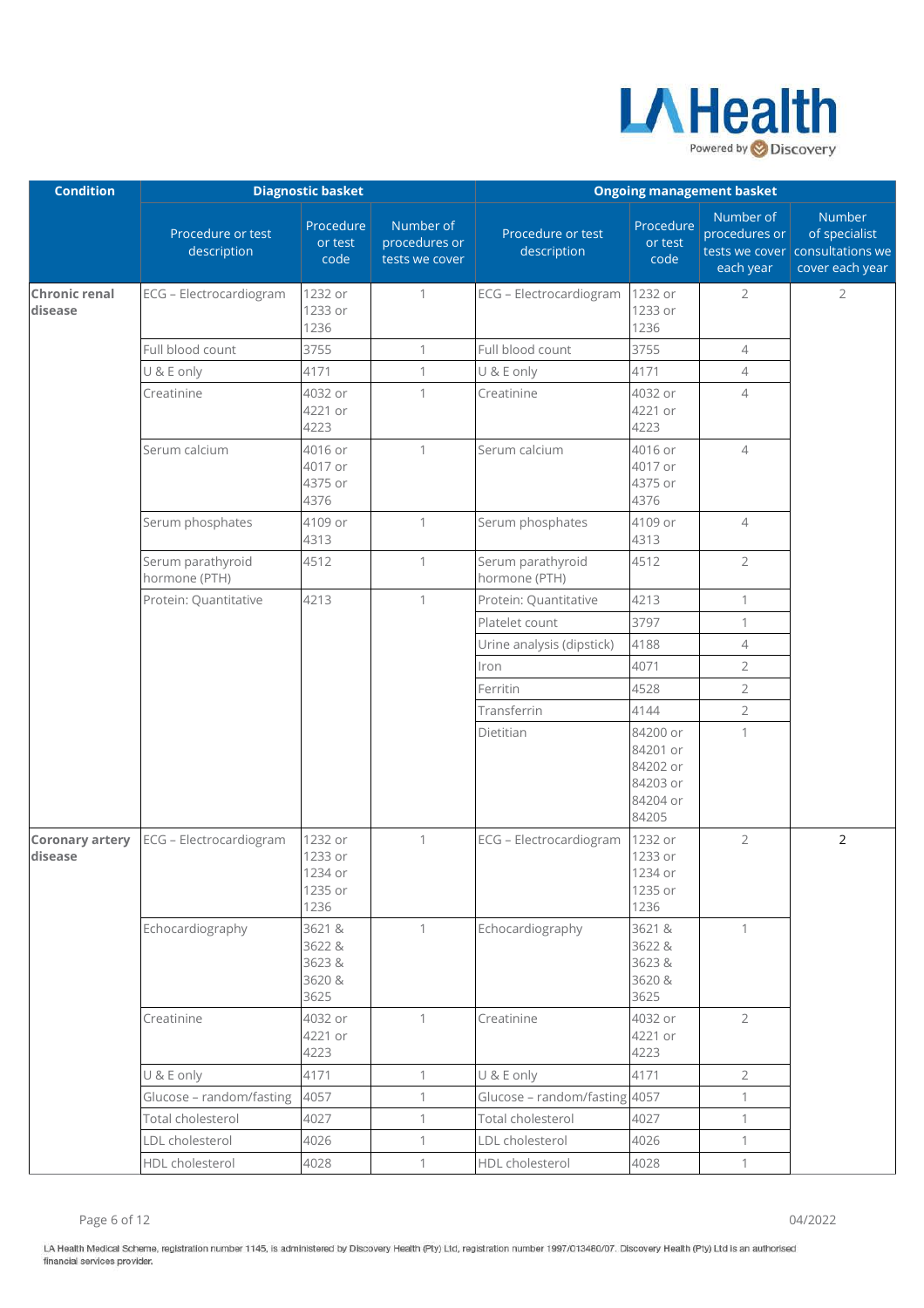

| <b>Condition</b>                  |                                    | <b>Diagnostic basket</b>                         |                                              | <b>Ongoing management basket</b>   |                                                                   |                                         |                                                                               |
|-----------------------------------|------------------------------------|--------------------------------------------------|----------------------------------------------|------------------------------------|-------------------------------------------------------------------|-----------------------------------------|-------------------------------------------------------------------------------|
|                                   | Procedure or test<br>description   | Procedure<br>or test<br>code                     | Number of<br>procedures or<br>tests we cover | Procedure or test<br>description   | Procedure<br>or test<br>code                                      | Number of<br>procedures or<br>each year | Number<br>of specialist<br>tests we cover consultations we<br>cover each year |
| <b>Chronic renal</b><br>disease   | ECG - Electrocardiogram            | 1232 or<br>1233 or<br>1236                       | $\mathbf{1}$                                 | ECG - Electrocardiogram            | 1232 or<br>1233 or<br>1236                                        | $\overline{2}$                          | $\overline{2}$                                                                |
|                                   | Full blood count                   | 3755                                             | $\mathbf{1}$                                 | Full blood count                   | 3755                                                              | 4                                       |                                                                               |
|                                   | U & E only                         | 4171                                             | $\mathbf{1}$                                 | U & E only                         | 4171                                                              | $\overline{4}$                          |                                                                               |
|                                   | Creatinine                         | 4032 or<br>4221 or<br>4223                       | 1                                            | Creatinine                         | 4032 or<br>4221 or<br>4223                                        | $\overline{4}$                          |                                                                               |
|                                   | Serum calcium                      | 4016 or<br>4017 or<br>4375 or<br>4376            | $\mathbf{1}$                                 | Serum calcium                      | 4016 or<br>4017 or<br>4375 or<br>4376                             | $\overline{4}$                          |                                                                               |
|                                   | Serum phosphates                   | 4109 or<br>4313                                  | $\mathbf{1}$                                 | Serum phosphates                   | 4109 or<br>4313                                                   | $\overline{\mathcal{A}}$                |                                                                               |
|                                   | Serum parathyroid<br>hormone (PTH) | 4512                                             | $\mathbf{1}$                                 | Serum parathyroid<br>hormone (PTH) | 4512                                                              | $\overline{2}$                          |                                                                               |
|                                   | Protein: Quantitative              | 4213                                             | $\mathbf{1}$                                 | Protein: Quantitative              | 4213                                                              | $\mathbf{1}$                            |                                                                               |
|                                   |                                    |                                                  |                                              | Platelet count                     | 3797                                                              | $\mathbf{1}$                            |                                                                               |
|                                   |                                    |                                                  |                                              | Urine analysis (dipstick)          | 4188                                                              | $\overline{4}$                          |                                                                               |
|                                   |                                    |                                                  |                                              | Iron                               | 4071                                                              | $\overline{2}$                          |                                                                               |
|                                   |                                    |                                                  |                                              | Ferritin                           | 4528                                                              | $\overline{2}$                          |                                                                               |
|                                   |                                    |                                                  |                                              | Transferrin                        | 4144                                                              | $\overline{2}$                          |                                                                               |
|                                   |                                    |                                                  |                                              | Dietitian                          | 84200 or<br>84201 or<br>84202 or<br>84203 or<br>84204 or<br>84205 | $\mathbf{1}$                            |                                                                               |
| <b>Coronary artery</b><br>disease | ECG - Electrocardiogram            | 1232 or<br>1233 or<br>1234 or<br>1235 or<br>1236 | $\mathbf{1}$                                 | ECG - Electrocardiogram            | 1232 or<br>1233 or<br>1234 or<br>1235 or<br>1236                  | $\overline{2}$                          | 2                                                                             |
|                                   | Echocardiography                   | 3621&<br>3622 &<br>3623&<br>3620 &<br>3625       | $\mathbf{1}$                                 | Echocardiography                   | 3621&<br>3622 &<br>3623&<br>3620 &<br>3625                        | $\mathbf{1}$                            |                                                                               |
|                                   | Creatinine                         | 4032 or<br>4221 or<br>4223                       | $\mathbf{1}$                                 | Creatinine                         | 4032 or<br>4221 or<br>4223                                        | $\overline{2}$                          |                                                                               |
|                                   | U & E only                         | 4171                                             | $\mathbf{1}$                                 | U & E only                         | 4171                                                              | $\overline{2}$                          |                                                                               |
|                                   | Glucose - random/fasting           | 4057                                             | $\mathbf{1}$                                 | Glucose - random/fasting 4057      |                                                                   | $\mathbf{1}$                            |                                                                               |
|                                   | Total cholesterol                  | 4027                                             | $\mathbf{1}$                                 | Total cholesterol                  | 4027                                                              | $\mathbf{1}$                            |                                                                               |
|                                   | LDL cholesterol                    | 4026                                             | $\mathbf{1}$                                 | LDL cholesterol                    | 4026                                                              | $\mathbf{1}$                            |                                                                               |
|                                   | HDL cholesterol                    | 4028                                             | $\mathbf{1}$                                 | HDL cholesterol                    | 4028                                                              | $\mathbf{1}$                            |                                                                               |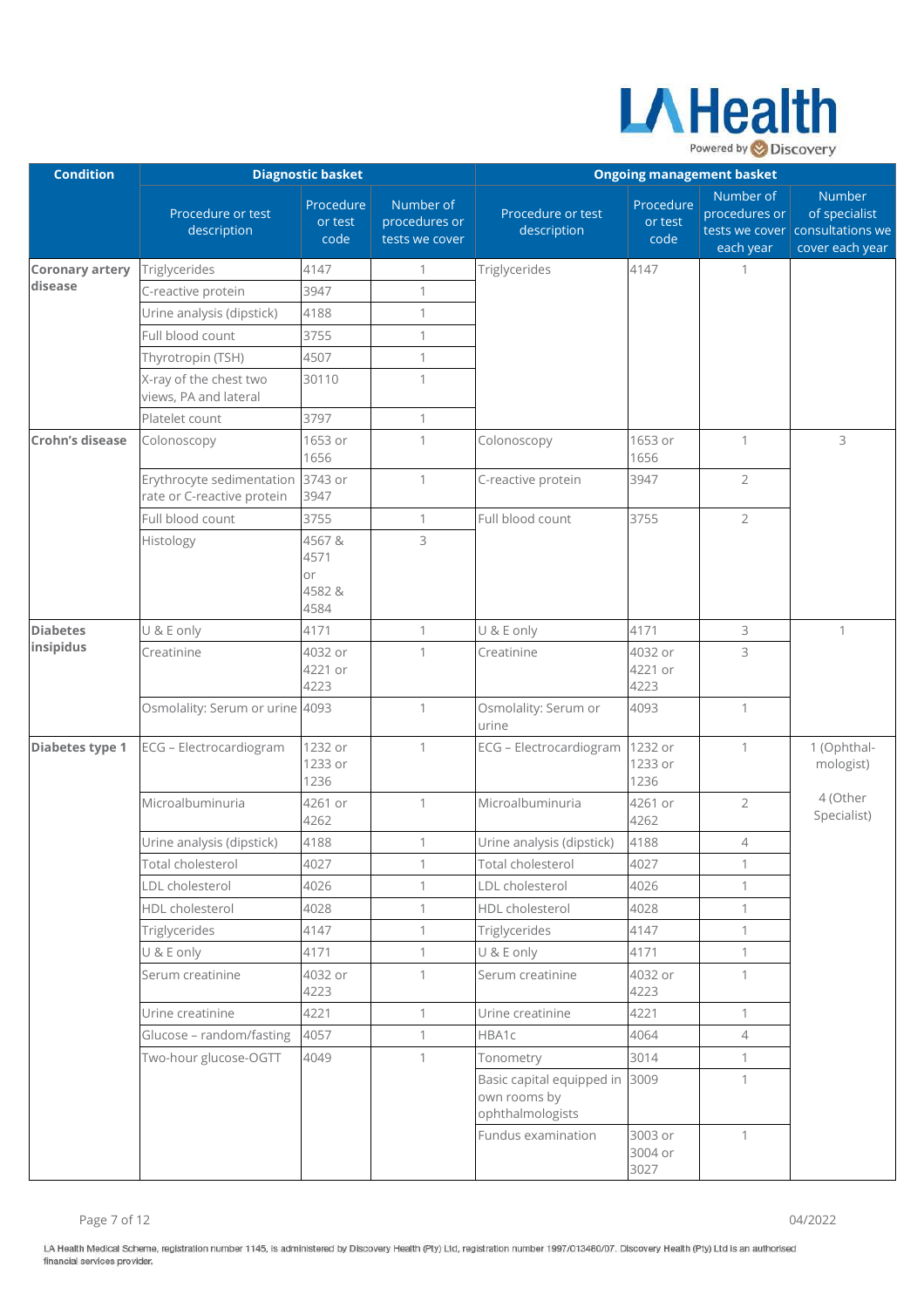

| <b>Condition</b>       |                                                         | <b>Diagnostic basket</b>             |                                              | <b>Ongoing management basket</b>                              |                              |                                         |                                                                               |
|------------------------|---------------------------------------------------------|--------------------------------------|----------------------------------------------|---------------------------------------------------------------|------------------------------|-----------------------------------------|-------------------------------------------------------------------------------|
|                        | Procedure or test<br>description                        | Procedure<br>or test<br>code         | Number of<br>procedures or<br>tests we cover | Procedure or test<br>description                              | Procedure<br>or test<br>code | Number of<br>procedures or<br>each year | Number<br>of specialist<br>tests we cover consultations we<br>cover each year |
| <b>Coronary artery</b> | Triglycerides                                           | 4147                                 | 1                                            | Triglycerides                                                 | 4147                         | 1                                       |                                                                               |
| disease                | C-reactive protein                                      | 3947                                 | 1                                            |                                                               |                              |                                         |                                                                               |
|                        | Urine analysis (dipstick)                               | 4188                                 | 1                                            |                                                               |                              |                                         |                                                                               |
|                        | Full blood count                                        | 3755                                 | 1                                            |                                                               |                              |                                         |                                                                               |
|                        | Thyrotropin (TSH)                                       | 4507                                 | 1                                            |                                                               |                              |                                         |                                                                               |
|                        | X-ray of the chest two<br>views, PA and lateral         | 30110                                | $\mathbf{1}$                                 |                                                               |                              |                                         |                                                                               |
|                        | Platelet count                                          | 3797                                 | $\mathbf{1}$                                 |                                                               |                              |                                         |                                                                               |
| <b>Crohn's disease</b> | Colonoscopy                                             | 1653 or<br>1656                      | $\mathbf{1}$                                 | Colonoscopy                                                   | 1653 or<br>1656              | $\mathbf{1}$                            | 3                                                                             |
|                        | Erythrocyte sedimentation<br>rate or C-reactive protein | 3743 or<br>3947                      | $\mathbf{1}$                                 | C-reactive protein                                            | 3947                         | $\overline{2}$                          |                                                                               |
|                        | Full blood count                                        | 3755                                 | $\mathbf{1}$                                 | Full blood count                                              | 3755                         | $\overline{2}$                          |                                                                               |
|                        | Histology                                               | 4567&<br>4571<br>or<br>4582&<br>4584 | 3                                            |                                                               |                              |                                         |                                                                               |
| <b>Diabetes</b>        | U & E only                                              | 4171                                 | $\mathbf{1}$                                 | U & E only                                                    | 4171                         | 3                                       | $\mathbf{1}$                                                                  |
| insipidus              | Creatinine                                              | 4032 or<br>4221 or<br>4223           | 1                                            | Creatinine                                                    | 4032 or<br>4221 or<br>4223   | 3                                       |                                                                               |
|                        | Osmolality: Serum or urine 4093                         |                                      | $\mathbf{1}$                                 | Osmolality: Serum or<br>urine                                 | 4093                         | $\mathbf{1}$                            |                                                                               |
| Diabetes type 1        | ECG - Electrocardiogram                                 | 1232 or<br>1233 or<br>1236           | 1                                            | ECG - Electrocardiogram                                       | 1232 or<br>1233 or<br>1236   | 1                                       | 1 (Ophthal-<br>mologist)                                                      |
|                        | Microalbuminuria                                        | 4261 or<br>4262                      | $\mathbf{1}$                                 | Microalbuminuria                                              | 4261 or<br>4262              | $\overline{2}$                          | 4 (Other<br>Specialist)                                                       |
|                        | Urine analysis (dipstick)                               | 4188                                 | 1                                            | Urine analysis (dipstick)                                     | 4188                         | $\overline{4}$                          |                                                                               |
|                        | Total cholesterol                                       | 4027                                 | 1                                            | Total cholesterol                                             | 4027                         | 1                                       |                                                                               |
|                        | LDL cholesterol                                         | 4026                                 | $\mathbf{1}$                                 | LDL cholesterol                                               | 4026                         | 1                                       |                                                                               |
|                        | HDL cholesterol                                         | 4028                                 | $\mathbf{1}$                                 | HDL cholesterol                                               | 4028                         | $\mathbf{1}$                            |                                                                               |
|                        | Triglycerides                                           | 4147                                 | $\mathbf{1}$                                 | Triglycerides                                                 | 4147                         | 1                                       |                                                                               |
|                        | U & E only                                              | 4171                                 | $\mathbf{1}$                                 | U & E only                                                    | 4171                         | $\mathbf{1}$                            |                                                                               |
|                        | Serum creatinine                                        | 4032 or<br>4223                      | $\mathbf{1}$                                 | Serum creatinine                                              | 4032 or<br>4223              | $\mathbf{1}$                            |                                                                               |
|                        | Urine creatinine                                        | 4221                                 | $\mathbf{1}$                                 | Urine creatinine                                              | 4221                         | $\mathbf{1}$                            |                                                                               |
|                        | Glucose - random/fasting                                | 4057                                 | 1                                            | HBA1c                                                         | 4064                         | $\overline{4}$                          |                                                                               |
|                        | Two-hour glucose-OGTT                                   | 4049                                 | $\mathbf{1}$                                 | Tonometry                                                     | 3014                         | $\mathbf{1}$                            |                                                                               |
|                        |                                                         |                                      |                                              | Basic capital equipped in<br>own rooms by<br>ophthalmologists | 3009                         | 1                                       |                                                                               |
|                        |                                                         |                                      |                                              | Fundus examination                                            | 3003 or<br>3004 or<br>3027   | $\mathbf{1}$                            |                                                                               |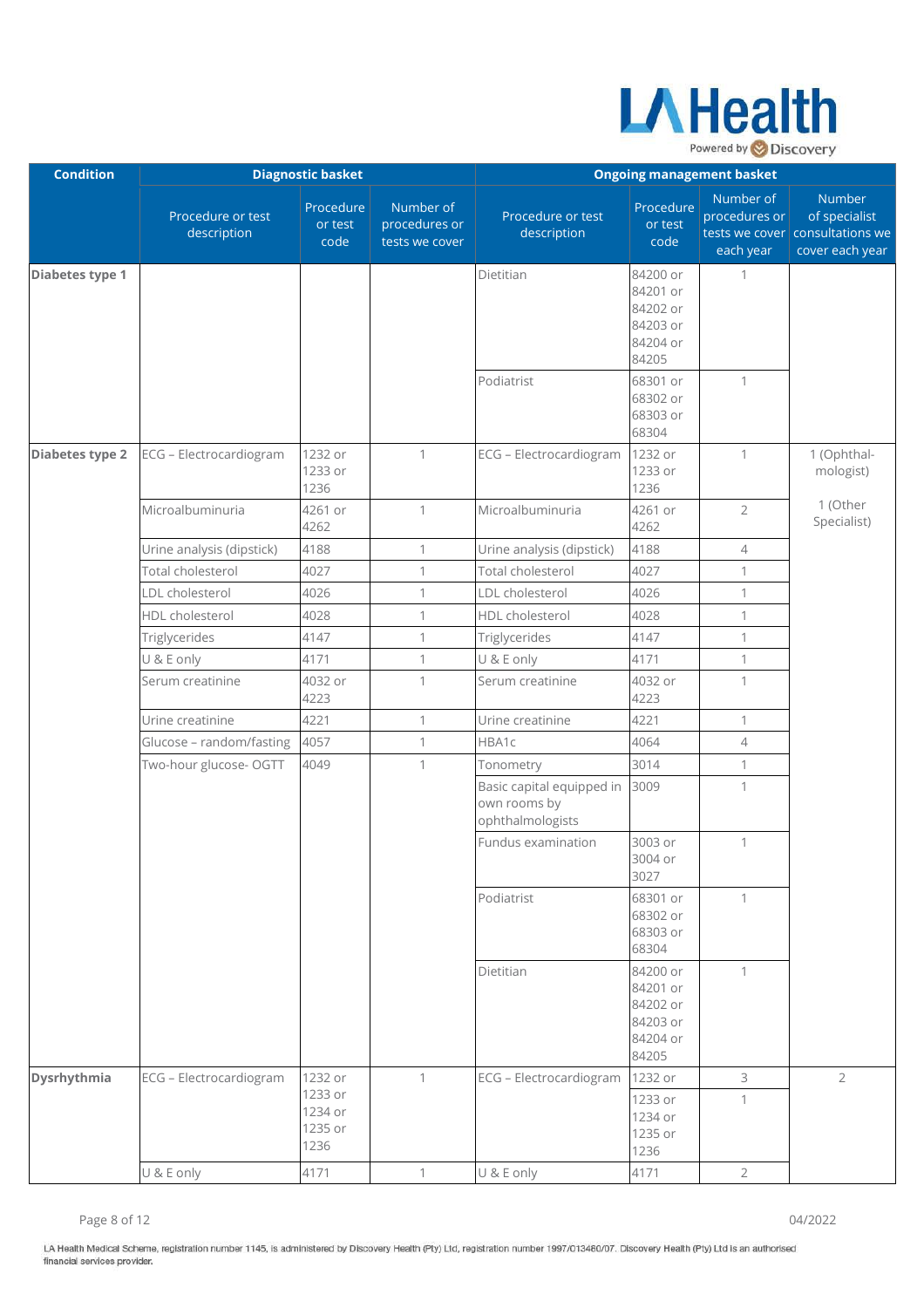

| <b>Condition</b> |                                  | <b>Diagnostic basket</b>              |                                              | <b>Ongoing management basket</b>                              |                                                                   |                                         |                                                                               |
|------------------|----------------------------------|---------------------------------------|----------------------------------------------|---------------------------------------------------------------|-------------------------------------------------------------------|-----------------------------------------|-------------------------------------------------------------------------------|
|                  | Procedure or test<br>description | Procedure<br>or test<br>code          | Number of<br>procedures or<br>tests we cover | Procedure or test<br>description                              | Procedure<br>or test<br>code                                      | Number of<br>procedures or<br>each year | Number<br>of specialist<br>tests we cover consultations we<br>cover each year |
| Diabetes type 1  |                                  |                                       |                                              | Dietitian                                                     | 84200 or<br>84201 or<br>84202 or<br>84203 or<br>84204 or<br>84205 | 1                                       |                                                                               |
|                  |                                  |                                       |                                              | Podiatrist                                                    | 68301 or<br>68302 or<br>68303 or<br>68304                         | $\mathbf{1}$                            |                                                                               |
| Diabetes type 2  | ECG - Electrocardiogram          | 1232 or<br>1233 or<br>1236            | $\mathbf{1}$                                 | ECG - Electrocardiogram                                       | 1232 or<br>1233 or<br>1236                                        | $\mathbf{1}$                            | 1 (Ophthal-<br>mologist)                                                      |
|                  | Microalbuminuria                 | 4261 or<br>4262                       | $\mathbf{1}$                                 | Microalbuminuria                                              | 4261 or<br>4262                                                   | $\overline{2}$                          | 1 (Other<br>Specialist)                                                       |
|                  | Urine analysis (dipstick)        | 4188                                  | 1                                            | Urine analysis (dipstick)                                     | 4188                                                              | $\overline{4}$                          |                                                                               |
|                  | Total cholesterol                | 4027                                  | $\mathbf{1}$                                 | Total cholesterol                                             | 4027                                                              | $\mathbf{1}$                            |                                                                               |
|                  | LDL cholesterol                  | 4026                                  | $\mathbf{1}$                                 | LDL cholesterol                                               | 4026                                                              | $\mathbf{1}$                            |                                                                               |
|                  | HDL cholesterol                  | 4028                                  | $\mathbf{1}$                                 | HDL cholesterol                                               | 4028                                                              | $\mathbf{1}$                            |                                                                               |
|                  | Triglycerides                    | 4147                                  | $\mathbf{1}$                                 | Triglycerides                                                 | 4147                                                              | $\mathbf{1}$                            |                                                                               |
|                  | U & E only                       | 4171                                  | $\mathbf{1}$                                 | U & E only                                                    | 4171                                                              | $\mathbf{1}$                            |                                                                               |
|                  | Serum creatinine                 | 4032 or<br>4223                       | $\mathbf{1}$                                 | Serum creatinine                                              | 4032 or<br>4223                                                   | 1                                       |                                                                               |
|                  | Urine creatinine                 | 4221                                  | $\mathbf{1}$                                 | Urine creatinine                                              | 4221                                                              | $\mathbf{1}$                            |                                                                               |
|                  | Glucose - random/fasting         | 4057                                  | $\mathbf{1}$                                 | HBA1c                                                         | 4064                                                              | $\overline{4}$                          |                                                                               |
|                  | Two-hour glucose- OGTT           | 4049                                  | 1                                            | Tonometry                                                     | 3014                                                              | $\mathbf 1$                             |                                                                               |
|                  |                                  |                                       |                                              | Basic capital equipped in<br>own rooms by<br>ophthalmologists | 3009                                                              | $\mathbf{1}$                            |                                                                               |
|                  |                                  |                                       |                                              | Fundus examination                                            | 3003 or<br>3004 or<br>3027                                        | 1                                       |                                                                               |
|                  |                                  |                                       |                                              | Podiatrist                                                    | 68301 or<br>68302 or<br>68303 or<br>68304                         | $\mathbf{1}$                            |                                                                               |
|                  |                                  |                                       |                                              | Dietitian                                                     | 84200 or<br>84201 or<br>84202 or<br>84203 or<br>84204 or<br>84205 | $\mathbf{1}$                            |                                                                               |
| Dysrhythmia      | ECG - Electrocardiogram          | 1232 or                               | $\mathbf{1}$                                 | ECG - Electrocardiogram                                       | 1232 or                                                           | 3                                       | $\overline{2}$                                                                |
|                  |                                  | 1233 or<br>1234 or<br>1235 or<br>1236 |                                              |                                                               | 1233 or<br>1234 or<br>1235 or<br>1236                             | $\mathbf{1}$                            |                                                                               |
|                  | U & E only                       | 4171                                  | $\mathbf{1}$                                 | U & E only                                                    | 4171                                                              | $\overline{2}$                          |                                                                               |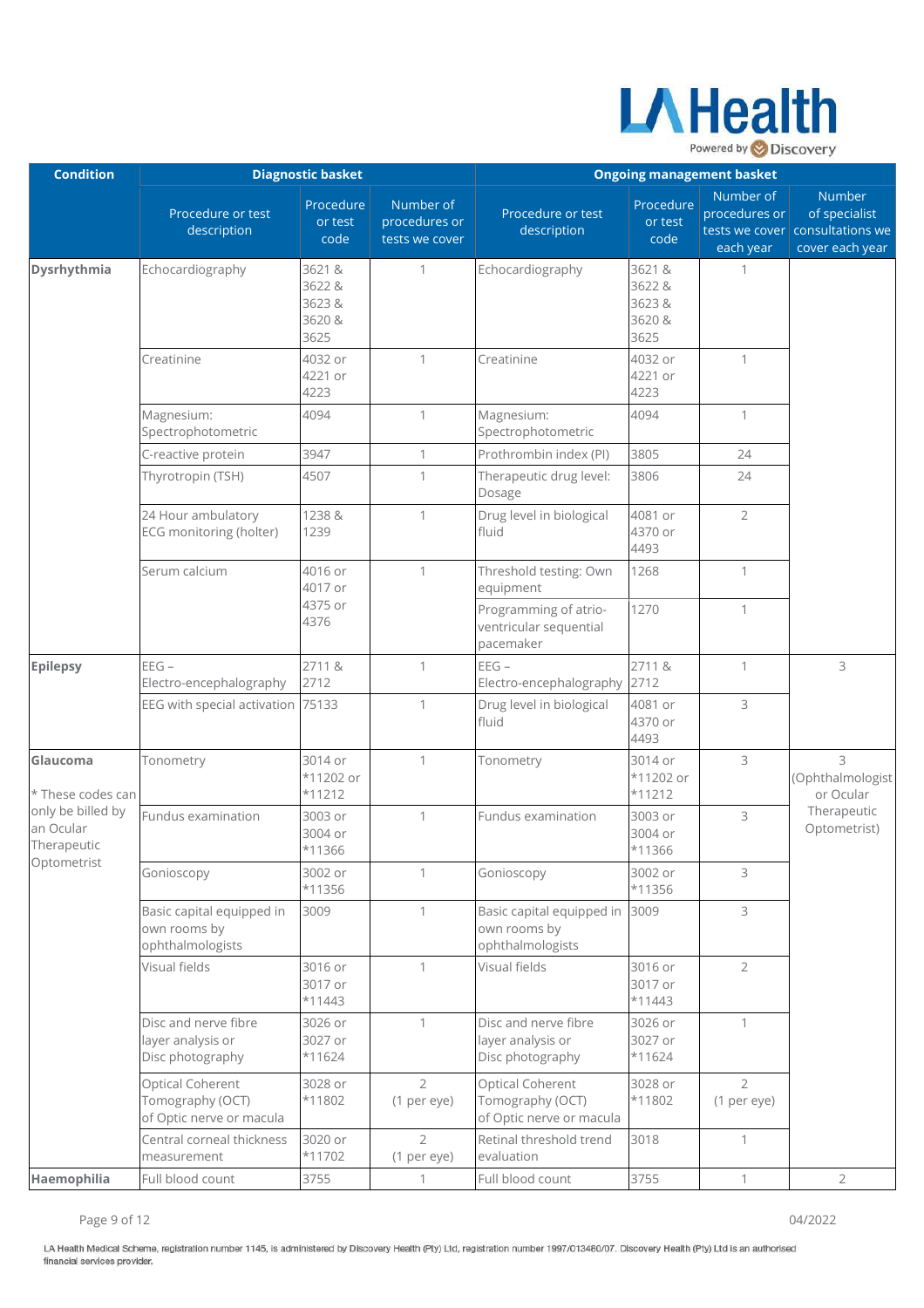

| <b>Condition</b>                              |                                                                  | <b>Diagnostic basket</b>                    |                                              | <b>Ongoing management basket</b>                                 |                                             |                                         |                                                                                      |
|-----------------------------------------------|------------------------------------------------------------------|---------------------------------------------|----------------------------------------------|------------------------------------------------------------------|---------------------------------------------|-----------------------------------------|--------------------------------------------------------------------------------------|
|                                               | Procedure or test<br>description                                 | Procedure<br>or test<br>code                | Number of<br>procedures or<br>tests we cover | Procedure or test<br>description                                 | Procedure<br>or test<br>code                | Number of<br>procedures or<br>each year | <b>Number</b><br>of specialist<br>tests we cover consultations we<br>cover each year |
| Dysrhythmia                                   | Echocardiography                                                 | 3621 &<br>3622 &<br>3623&<br>3620 &<br>3625 | $\mathbf{1}$                                 | Echocardiography                                                 | 3621 &<br>3622 &<br>3623&<br>3620 &<br>3625 | 1                                       |                                                                                      |
|                                               | Creatinine                                                       | 4032 or<br>4221 or<br>4223                  | $\mathbf{1}$                                 | Creatinine                                                       | 4032 or<br>4221 or<br>4223                  | $\mathbf{1}$                            |                                                                                      |
|                                               | Magnesium:<br>Spectrophotometric                                 | 4094                                        | $\mathbf{1}$                                 | Magnesium:<br>Spectrophotometric                                 | 4094                                        | $\mathbf{1}$                            |                                                                                      |
|                                               | C-reactive protein                                               | 3947                                        | $\mathbf{1}$                                 | Prothrombin index (PI)                                           | 3805                                        | 24                                      |                                                                                      |
|                                               | Thyrotropin (TSH)                                                | 4507                                        | 1                                            | Therapeutic drug level:<br>Dosage                                | 3806                                        | 24                                      |                                                                                      |
|                                               | 24 Hour ambulatory<br>ECG monitoring (holter)                    | 1238 &<br>1239                              | 1                                            | Drug level in biological<br>fluid                                | 4081 or<br>4370 or<br>4493                  | $\overline{2}$                          |                                                                                      |
|                                               | Serum calcium                                                    | 4016 or<br>4017 or                          | 1                                            | Threshold testing: Own<br>equipment                              | 1268                                        | 1                                       |                                                                                      |
|                                               |                                                                  | 4375 or<br>4376                             |                                              | Programming of atrio-<br>ventricular sequential<br>pacemaker     | 1270                                        | 1                                       |                                                                                      |
| <b>Epilepsy</b>                               | $EEG -$<br>Electro-encephalography                               | 2711&<br>2712                               | $\mathbf{1}$                                 | $EEG -$<br>Electro-encephalography                               | 2711&<br>2712                               | 1                                       | 3                                                                                    |
|                                               | EEG with special activation 75133                                |                                             | $\mathbf{1}$                                 | Drug level in biological<br>fluid                                | 4081 or<br>4370 or<br>4493                  | 3                                       |                                                                                      |
| Glaucoma<br>* These codes can                 | Tonometry                                                        | 3014 or<br>*11202 or<br>$*11212$            | $\mathbf{1}$                                 | Tonometry                                                        | 3014 or<br>*11202 or<br>$*11212$            | 3                                       | 3<br>(Ophthalmologist<br>or Ocular                                                   |
| only be billed by<br>an Ocular<br>Therapeutic | Fundus examination                                               | 3003 or<br>3004 or<br>*11366                | $\mathbf{1}$                                 | Fundus examination                                               | 3003 or<br>3004 or<br>*11366                | 3                                       | Therapeutic<br>Optometrist)                                                          |
| Optometrist                                   | Gonioscopy                                                       | 3002 or<br>*11356                           | $\mathbf{1}$                                 | Gonioscopy                                                       | 3002 or<br>*11356                           | 3                                       |                                                                                      |
|                                               | Basic capital equipped in<br>own rooms by<br>ophthalmologists    | 3009                                        | $\mathbf{1}$                                 | Basic capital equipped in<br>own rooms by<br>ophthalmologists    | 3009                                        | 3                                       |                                                                                      |
|                                               | Visual fields                                                    | 3016 or<br>3017 or<br>$*11443$              | $\mathbf{1}$                                 | Visual fields                                                    | 3016 or<br>3017 or<br>$*11443$              | $\overline{2}$                          |                                                                                      |
|                                               | Disc and nerve fibre<br>layer analysis or<br>Disc photography    | 3026 or<br>3027 or<br>$*11624$              | $\mathbf{1}$                                 | Disc and nerve fibre<br>layer analysis or<br>Disc photography    | 3026 or<br>3027 or<br>$*11624$              | $\mathbf{1}$                            |                                                                                      |
|                                               | Optical Coherent<br>Tomography (OCT)<br>of Optic nerve or macula | 3028 or<br>*11802                           | $\overline{2}$<br>(1 per eye)                | Optical Coherent<br>Tomography (OCT)<br>of Optic nerve or macula | 3028 or<br>*11802                           | $\overline{2}$<br>(1 per eye)           |                                                                                      |
|                                               | Central corneal thickness<br>measurement                         | 3020 or<br>*11702                           | $\overline{2}$<br>(1 per eye)                | Retinal threshold trend<br>evaluation                            | 3018                                        | $\mathbf{1}$                            |                                                                                      |
| Haemophilia                                   | Full blood count                                                 | 3755                                        | $\mathbf{1}$                                 | Full blood count                                                 | 3755                                        | $\mathbf{1}$                            | $\overline{2}$                                                                       |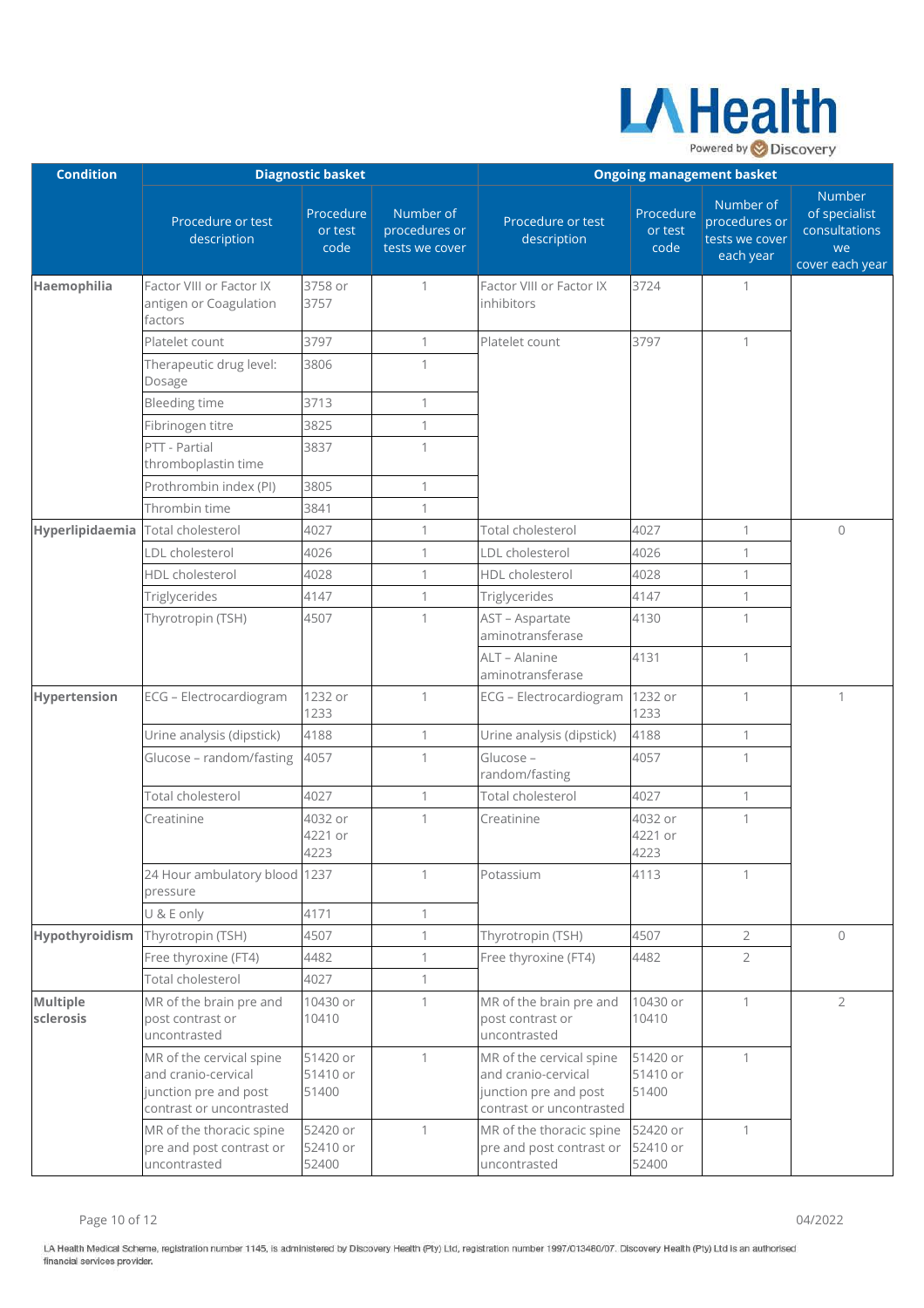

| <b>Condition</b>                  |                                                                                                      | <b>Diagnostic basket</b>      |                                              | <b>Ongoing management basket</b>                                                                     |                               |                                                           |                                                                          |
|-----------------------------------|------------------------------------------------------------------------------------------------------|-------------------------------|----------------------------------------------|------------------------------------------------------------------------------------------------------|-------------------------------|-----------------------------------------------------------|--------------------------------------------------------------------------|
|                                   | Procedure or test<br>description                                                                     | Procedure<br>or test<br>code  | Number of<br>procedures or<br>tests we cover | Procedure or test<br>description                                                                     | Procedure<br>or test<br>code  | Number of<br>procedures or<br>tests we cover<br>each year | <b>Number</b><br>of specialist<br>consultations<br>we<br>cover each year |
| Haemophilia                       | Factor VIII or Factor IX<br>antigen or Coagulation<br>factors                                        | 3758 or<br>3757               | 1                                            | Factor VIII or Factor IX<br>inhibitors                                                               | 3724                          | 1                                                         |                                                                          |
|                                   | Platelet count                                                                                       | 3797                          | $\mathbf{1}$                                 | Platelet count                                                                                       | 3797                          | 1                                                         |                                                                          |
|                                   | Therapeutic drug level:<br>Dosage                                                                    | 3806                          | 1                                            |                                                                                                      |                               |                                                           |                                                                          |
|                                   | <b>Bleeding time</b>                                                                                 | 3713                          | $\mathbf{1}$                                 |                                                                                                      |                               |                                                           |                                                                          |
|                                   | Fibrinogen titre                                                                                     | 3825                          | 1                                            |                                                                                                      |                               |                                                           |                                                                          |
|                                   | PTT - Partial<br>thromboplastin time                                                                 | 3837                          | 1                                            |                                                                                                      |                               |                                                           |                                                                          |
|                                   | Prothrombin index (PI)                                                                               | 3805                          | 1                                            |                                                                                                      |                               |                                                           |                                                                          |
|                                   | Thrombin time                                                                                        | 3841                          | 1                                            |                                                                                                      |                               |                                                           |                                                                          |
| Hyperlipidaemia Total cholesterol |                                                                                                      | 4027                          | $\mathbf{1}$                                 | Total cholesterol                                                                                    | 4027                          | 1                                                         | $\mathbf{0}$                                                             |
|                                   | LDL cholesterol                                                                                      | 4026                          | $\mathbf{1}$                                 | LDL cholesterol                                                                                      | 4026                          | 1                                                         |                                                                          |
|                                   | HDL cholesterol                                                                                      | 4028                          | 1                                            | HDL cholesterol                                                                                      | 4028                          | $\mathbf{1}$                                              |                                                                          |
|                                   | Triglycerides                                                                                        | 4147                          | $\mathbf{1}$                                 | Triglycerides                                                                                        | 4147                          | $\mathbf{1}$                                              |                                                                          |
|                                   | Thyrotropin (TSH)                                                                                    | 4507                          | $\mathbf{1}$                                 | AST - Aspartate<br>aminotransferase                                                                  | 4130                          | $\mathbf{1}$                                              |                                                                          |
|                                   |                                                                                                      |                               |                                              | ALT - Alanine<br>aminotransferase                                                                    | 4131                          | $\mathbf{1}$                                              |                                                                          |
| Hypertension                      | ECG - Electrocardiogram                                                                              | 1232 or<br>1233               | $\mathbf{1}$                                 | ECG - Electrocardiogram                                                                              | 1232 or<br>1233               | 1                                                         | 1                                                                        |
|                                   | Urine analysis (dipstick)                                                                            | 4188                          | 1                                            | Urine analysis (dipstick)                                                                            | 4188                          | 1                                                         |                                                                          |
|                                   | Glucose - random/fasting                                                                             | 4057                          | $\mathbf{1}$                                 | Glucose -<br>random/fasting                                                                          | 4057                          | 1                                                         |                                                                          |
|                                   | Total cholesterol                                                                                    | 4027                          | $\mathbf{1}$                                 | Total cholesterol                                                                                    | 4027                          | $\mathbf{1}$                                              |                                                                          |
|                                   | Creatinine                                                                                           | 4032 or<br>4221 or<br>4223    | 1                                            | Creatinine                                                                                           | 4032 or<br>4221 or<br>4223    | 1                                                         |                                                                          |
|                                   | 24 Hour ambulatory blood 1237<br>pressure                                                            |                               | $\mathbf{1}$                                 | Potassium                                                                                            | 4113                          | 1                                                         |                                                                          |
|                                   | U & E only                                                                                           | 4171                          | $\mathbf{1}$                                 |                                                                                                      |                               |                                                           |                                                                          |
| Hypothyroidism                    | Thyrotropin (TSH)                                                                                    | 4507                          | $\mathbf{1}$                                 | Thyrotropin (TSH)                                                                                    | 4507                          | $\overline{2}$                                            | $\mathbf 0$                                                              |
|                                   | Free thyroxine (FT4)                                                                                 | 4482                          | $\mathbf{1}$                                 | Free thyroxine (FT4)                                                                                 | 4482                          | $\overline{2}$                                            |                                                                          |
|                                   | Total cholesterol                                                                                    | 4027                          | $\mathbf{1}$                                 |                                                                                                      |                               |                                                           |                                                                          |
| Multiple<br>sclerosis             | MR of the brain pre and<br>post contrast or<br>uncontrasted                                          | 10430 or<br>10410             | $\mathbf{1}$                                 | MR of the brain pre and<br>post contrast or<br>uncontrasted                                          | 10430 or<br>10410             | $\mathbf{1}$                                              | $\overline{2}$                                                           |
|                                   | MR of the cervical spine<br>and cranio-cervical<br>junction pre and post<br>contrast or uncontrasted | 51420 or<br>51410 or<br>51400 | $\mathbf{1}$                                 | MR of the cervical spine<br>and cranio-cervical<br>junction pre and post<br>contrast or uncontrasted | 51420 or<br>51410 or<br>51400 | $\mathbf{1}$                                              |                                                                          |
|                                   | MR of the thoracic spine<br>pre and post contrast or<br>uncontrasted                                 | 52420 or<br>52410 or<br>52400 | $\mathbf{1}$                                 | MR of the thoracic spine<br>pre and post contrast or<br>uncontrasted                                 | 52420 or<br>52410 or<br>52400 | $\mathbf{1}$                                              |                                                                          |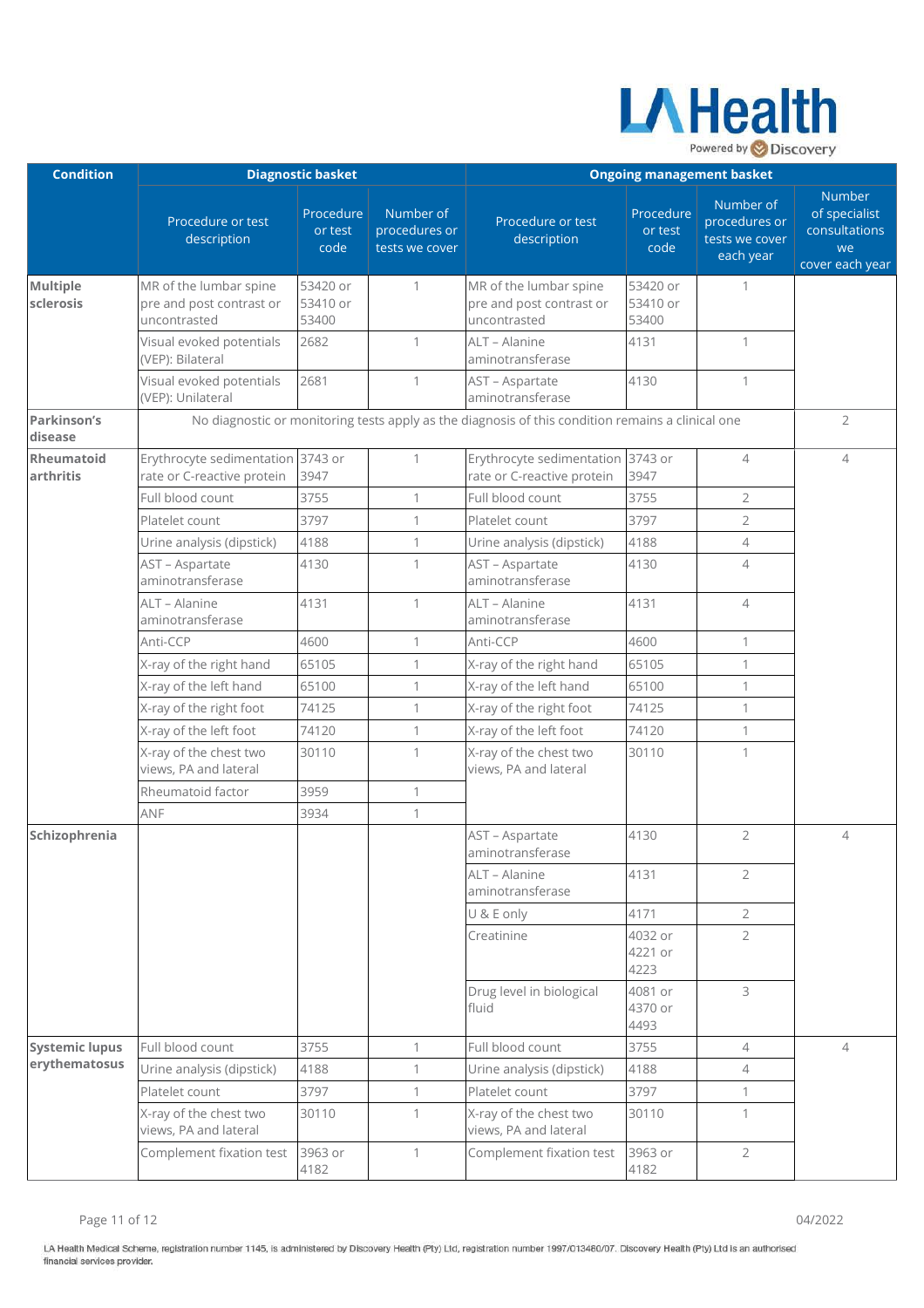

| <b>Condition</b>               |                                                                    | <b>Diagnostic basket</b>      |                                              | <b>Ongoing management basket</b>                                                                  |                               |                                                           |                                                                   |
|--------------------------------|--------------------------------------------------------------------|-------------------------------|----------------------------------------------|---------------------------------------------------------------------------------------------------|-------------------------------|-----------------------------------------------------------|-------------------------------------------------------------------|
|                                | Procedure or test<br>description                                   | Procedure<br>or test<br>code  | Number of<br>procedures or<br>tests we cover | Procedure or test<br>description                                                                  | Procedure<br>or test<br>code  | Number of<br>procedures or<br>tests we cover<br>each year | Number<br>of specialist<br>consultations<br>we<br>cover each year |
| <b>Multiple</b><br>sclerosis   | MR of the lumbar spine<br>pre and post contrast or<br>uncontrasted | 53420 or<br>53410 or<br>53400 | 1                                            | MR of the lumbar spine<br>pre and post contrast or<br>uncontrasted                                | 53420 or<br>53410 or<br>53400 | $\mathbf{1}$                                              |                                                                   |
|                                | Visual evoked potentials<br>(VEP): Bilateral                       | 2682                          | 1                                            | ALT - Alanine<br>aminotransferase                                                                 | 4131                          | $\mathbf{1}$                                              |                                                                   |
|                                | Visual evoked potentials<br>(VEP): Unilateral                      | 2681                          | 1                                            | AST - Aspartate<br>aminotransferase                                                               | 4130                          | $\mathbf{1}$                                              |                                                                   |
| <b>Parkinson's</b><br>disease  |                                                                    |                               |                                              | No diagnostic or monitoring tests apply as the diagnosis of this condition remains a clinical one |                               |                                                           | $\overline{2}$                                                    |
| <b>Rheumatoid</b><br>arthritis | Erythrocyte sedimentation<br>rate or C-reactive protein            | 3743 or<br>3947               | 1                                            | Erythrocyte sedimentation<br>rate or C-reactive protein                                           | 3743 or<br>3947               | $\overline{4}$                                            | $\overline{4}$                                                    |
|                                | Full blood count                                                   | 3755                          | $\mathbf{1}$                                 | Full blood count                                                                                  | 3755                          | $\overline{2}$                                            |                                                                   |
|                                | Platelet count                                                     | 3797                          | 1                                            | Platelet count                                                                                    | 3797                          | $\overline{2}$                                            |                                                                   |
|                                | Urine analysis (dipstick)                                          | 4188                          | $\mathbf{1}$                                 | Urine analysis (dipstick)                                                                         | 4188                          | $\overline{4}$                                            |                                                                   |
|                                | AST - Aspartate<br>aminotransferase                                | 4130                          | 1                                            | AST - Aspartate<br>aminotransferase                                                               | 4130                          | $\overline{4}$                                            |                                                                   |
|                                | ALT - Alanine<br>aminotransferase                                  | 4131                          | 1                                            | ALT - Alanine<br>aminotransferase                                                                 | 4131                          | $\overline{4}$                                            |                                                                   |
|                                | Anti-CCP                                                           | 4600                          | 1                                            | Anti-CCP                                                                                          | 4600                          | $\mathbf{1}$                                              |                                                                   |
|                                | X-ray of the right hand                                            | 65105                         | 1                                            | X-ray of the right hand                                                                           | 65105                         | $\mathbf{1}$                                              |                                                                   |
|                                | X-ray of the left hand                                             | 65100                         | 1                                            | X-ray of the left hand                                                                            | 65100                         | $\mathbf{1}$                                              |                                                                   |
|                                | X-ray of the right foot                                            | 74125                         | 1                                            | X-ray of the right foot                                                                           | 74125                         | $\mathbf{1}$                                              |                                                                   |
|                                | X-ray of the left foot                                             | 74120                         | 1                                            | X-ray of the left foot                                                                            | 74120                         | $\mathbf{1}$                                              |                                                                   |
|                                | X-ray of the chest two<br>views, PA and lateral                    | 30110                         | 1                                            | X-ray of the chest two<br>views, PA and lateral                                                   | 30110                         | $\mathbf{1}$                                              |                                                                   |
|                                | Rheumatoid factor                                                  | 3959                          | $\mathbf{1}$                                 |                                                                                                   |                               |                                                           |                                                                   |
|                                | ANF                                                                | 3934                          | $\mathbf{1}$                                 |                                                                                                   |                               |                                                           |                                                                   |
| Schizophrenia                  |                                                                    |                               |                                              | AST - Aspartate<br>aminotransferase                                                               | 4130                          | $\overline{2}$                                            | $\overline{\mathcal{A}}$                                          |
|                                |                                                                    |                               |                                              | ALT - Alanine<br>aminotransferase                                                                 | 4131                          | $\overline{2}$                                            |                                                                   |
|                                |                                                                    |                               |                                              | U & E only                                                                                        | 4171                          | $\overline{2}$                                            |                                                                   |
|                                |                                                                    |                               |                                              | Creatinine                                                                                        | 4032 or<br>4221 or<br>4223    | $\overline{2}$                                            |                                                                   |
|                                |                                                                    |                               |                                              | Drug level in biological<br>fluid                                                                 | 4081 or<br>4370 or<br>4493    | 3                                                         |                                                                   |
| <b>Systemic lupus</b>          | Full blood count                                                   | 3755                          | 1                                            | Full blood count                                                                                  | 3755                          | $\overline{4}$                                            | $\overline{4}$                                                    |
| erythematosus                  | Urine analysis (dipstick)                                          | 4188                          | 1                                            | Urine analysis (dipstick)                                                                         | 4188                          | $\overline{4}$                                            |                                                                   |
|                                | Platelet count                                                     | 3797                          | $\mathbf{1}$                                 | Platelet count                                                                                    | 3797                          | $\mathbf{1}$                                              |                                                                   |
|                                | X-ray of the chest two<br>views, PA and lateral                    | 30110                         | $\mathbf{1}$                                 | X-ray of the chest two<br>views, PA and lateral                                                   | 30110                         | $\mathbf{1}$                                              |                                                                   |
|                                | Complement fixation test                                           | 3963 or<br>4182               | $\mathbf{1}$                                 | Complement fixation test                                                                          | 3963 or<br>4182               | $\overline{2}$                                            |                                                                   |